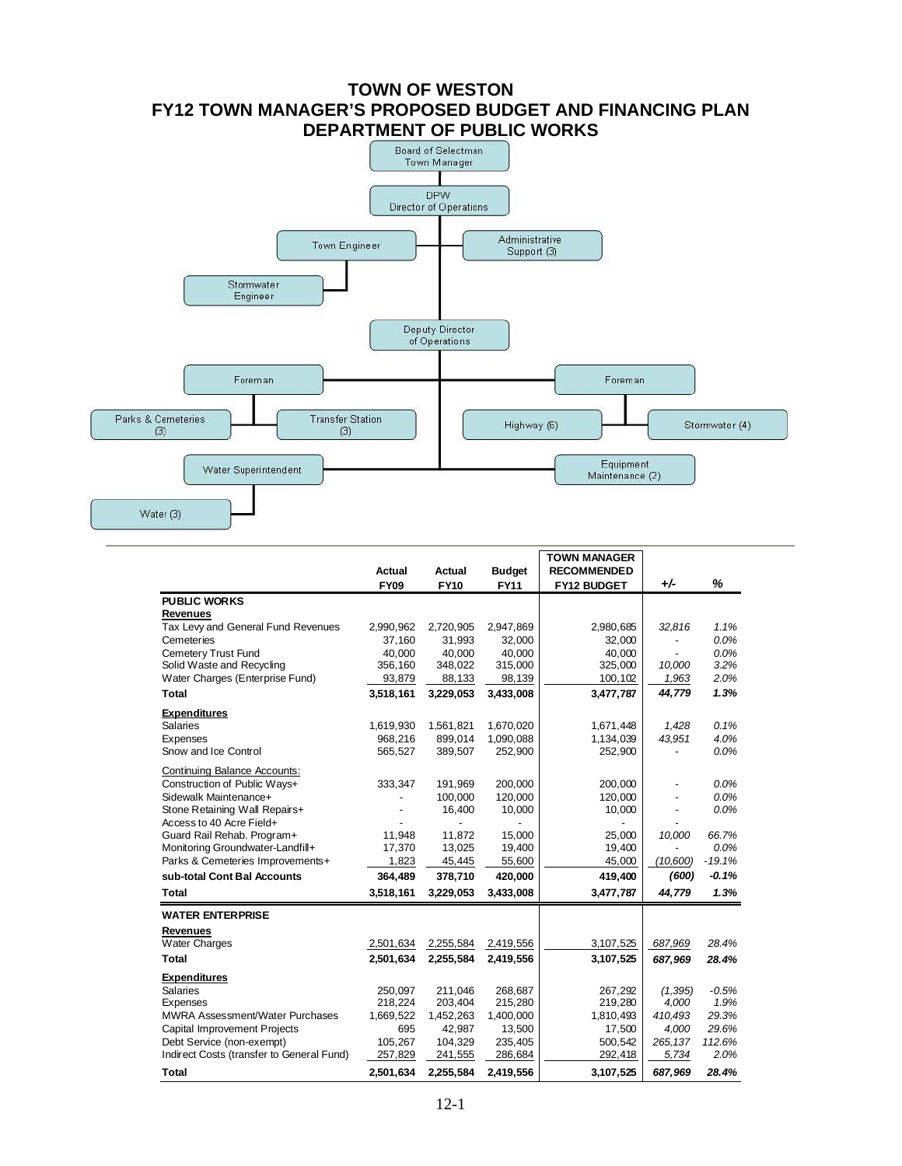# **TOWN OF WESTON FY12 TOWN MANAGER'S PROPOSED BUDGET AND FINANCING PLAN**



|                                           | Actual<br><b>FY09</b> | Actual<br><b>FY10</b> | <b>Budget</b><br><b>FY11</b> | <b>TOWN MANAGER</b><br><b>RECOMMENDED</b><br><b>FY12 BUDGET</b> | $+/-$    | %                |
|-------------------------------------------|-----------------------|-----------------------|------------------------------|-----------------------------------------------------------------|----------|------------------|
| <b>PUBLIC WORKS</b>                       |                       |                       |                              |                                                                 |          |                  |
| <b>Revenues</b>                           |                       |                       |                              |                                                                 |          |                  |
| Tax Levy and General Fund Revenues        | 2,990,962             | 2,720,905             | 2,947,869                    | 2,980,685                                                       | 32,816   | 1.1%             |
| Cemeteries                                | 37.160                | 31,993                | 32,000                       | 32,000                                                          |          | 0.0%             |
| Cemetery Trust Fund                       | 40,000                | 40,000                | 40,000                       | 40,000                                                          |          | 0.0%             |
| Solid Waste and Recycling                 | 356,160               | 348,022               | 315,000                      | 325,000                                                         | 10.000   | 3.2%             |
| Water Charges (Enterprise Fund)           | 93,879                | 88,133                | 98,139                       | 100,102                                                         | 1,963    | 2.0%             |
| <b>Total</b>                              | 3,518,161             | 3,229,053             | 3,433,008                    | 3,477,787                                                       | 44,779   | 1.3%             |
| <b>Expenditures</b>                       |                       |                       |                              |                                                                 |          |                  |
| <b>Salaries</b>                           | 1,619,930             | 1,561,821             | 1,670,020                    | 1,671,448                                                       | 1,428    | 0.1%             |
| Expenses                                  | 968.216               | 899,014               | 1,090,088                    | 1,134,039                                                       | 43,951   | 4.0%             |
| Snow and Ice Control                      | 565,527               | 389,507               | 252,900                      | 252,900                                                         |          | 0.0%             |
| Continuing Balance Accounts:              |                       |                       |                              |                                                                 |          |                  |
| Construction of Public Ways+              | 333,347               | 191,969               | 200,000                      | 200,000                                                         |          | 0.0%             |
| Sidewalk Maintenance+                     |                       | 100,000               | 120.000                      | 120.000                                                         |          | 0.0%             |
| Stone Retaining Wall Repairs+             |                       | 16,400                | 10,000                       | 10,000                                                          |          | 0.0%             |
| Access to 40 Acre Field+                  |                       |                       |                              |                                                                 |          |                  |
| Guard Rail Rehab. Program+                | 11,948                | 11,872                | 15,000                       | 25,000                                                          | 10,000   | 66.7%            |
| Monitoring Groundwater-Landfill+          | 17,370                | 13,025                | 19,400                       | 19,400                                                          |          | 0.0%<br>$-19.1%$ |
| Parks & Cemeteries Improvements+          | 1,823                 | 45,445                | 55,600                       | 45,000                                                          | (10,600) |                  |
| sub-total Cont Bal Accounts               | 364,489               | 378,710               | 420,000                      | 419,400                                                         | (600)    | $-0.1%$          |
| <b>Total</b>                              | 3,518,161             | 3,229,053             | 3,433,008                    | 3,477,787                                                       | 44,779   | 1.3%             |
| <b>WATER ENTERPRISE</b>                   |                       |                       |                              |                                                                 |          |                  |
| <b>Revenues</b>                           |                       |                       |                              |                                                                 |          |                  |
| <b>Water Charges</b>                      | 2,501,634             | 2,255,584             | 2,419,556                    | 3,107,525                                                       | 687,969  | 28.4%            |
| <b>Total</b>                              | 2,501,634             | 2,255,584             | 2,419,556                    | 3,107,525                                                       | 687,969  | 28.4%            |
| <b>Expenditures</b>                       |                       |                       |                              |                                                                 |          |                  |
| <b>Salaries</b>                           | 250,097               | 211,046               | 268,687                      | 267,292                                                         | (1, 395) | $-0.5%$          |
| Expenses                                  | 218,224               | 203,404               | 215,280                      | 219,280                                                         | 4,000    | 1.9%             |
| <b>MWRA Assessment/Water Purchases</b>    | 1,669,522             | 1,452,263             | 1,400,000                    | 1,810,493                                                       | 410.493  | 29.3%            |
| <b>Capital Improvement Projects</b>       | 695                   | 42,987                | 13,500                       | 17,500                                                          | 4,000    | 29.6%            |
| Debt Service (non-exempt)                 | 105,267               | 104,329               | 235,405                      | 500,542                                                         | 265,137  | 112.6%           |
| Indirect Costs (transfer to General Fund) | 257,829               | 241,555               | 286,684                      | 292,418                                                         | 5,734    | 2.0%             |
| Total                                     | 2,501,634             | 2,255,584             | 2,419,556                    | 3,107,525                                                       | 687,969  | 28.4%            |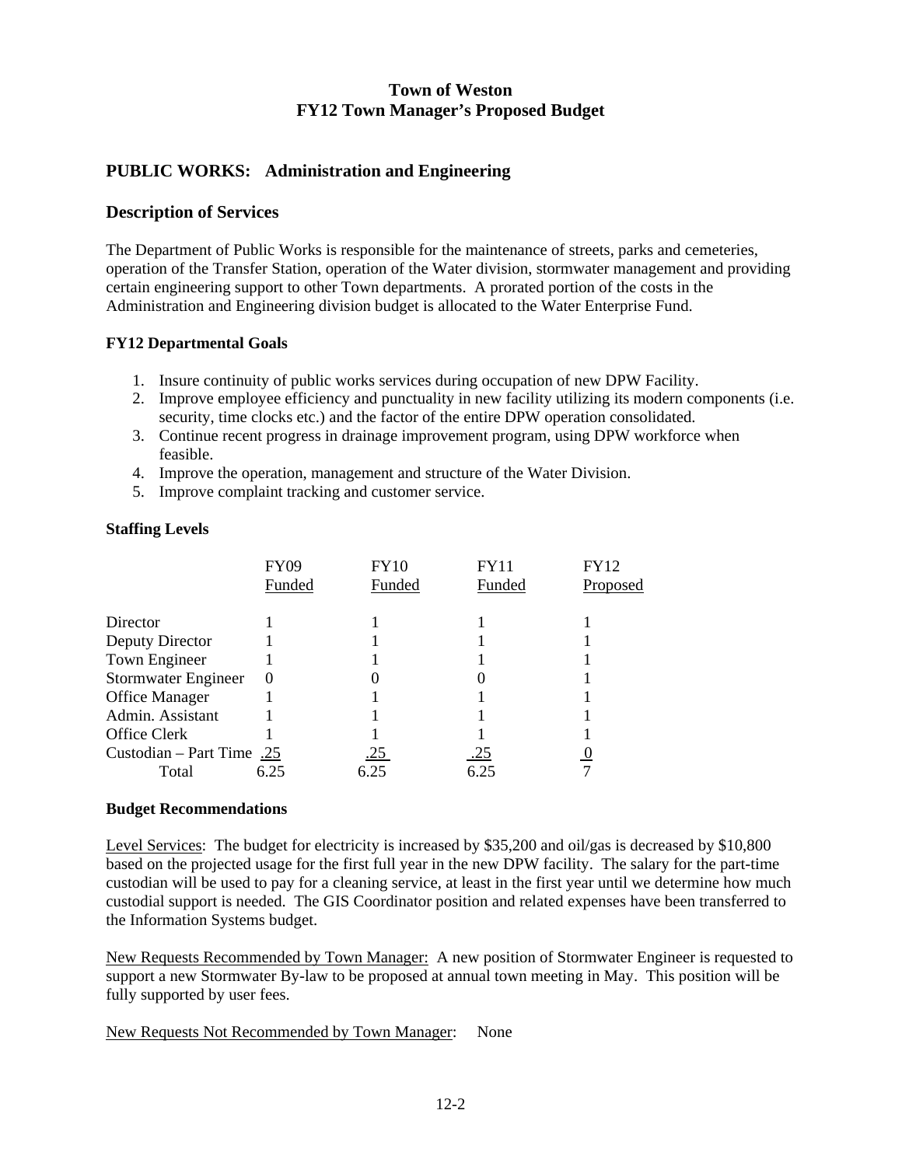### **PUBLIC WORKS: Administration and Engineering**

### **Description of Services**

The Department of Public Works is responsible for the maintenance of streets, parks and cemeteries, operation of the Transfer Station, operation of the Water division, stormwater management and providing certain engineering support to other Town departments. A prorated portion of the costs in the Administration and Engineering division budget is allocated to the Water Enterprise Fund.

### **FY12 Departmental Goals**

- 1. Insure continuity of public works services during occupation of new DPW Facility.
- 2. Improve employee efficiency and punctuality in new facility utilizing its modern components (i.e. security, time clocks etc.) and the factor of the entire DPW operation consolidated.
- 3. Continue recent progress in drainage improvement program, using DPW workforce when feasible.
- 4. Improve the operation, management and structure of the Water Division.
- 5. Improve complaint tracking and customer service.

#### **Staffing Levels**

| FY09     | <b>FY10</b>                       | FY11   | FY12     |
|----------|-----------------------------------|--------|----------|
| Funded   | Funded                            | Funded | Proposed |
|          |                                   |        |          |
|          |                                   |        |          |
|          |                                   |        |          |
|          |                                   |        |          |
| $\left($ |                                   |        |          |
|          |                                   |        |          |
|          |                                   |        |          |
|          |                                   |        |          |
|          | .25                               | .25    |          |
|          | 6.25                              | 6.25   |          |
|          | Custodian – Part Time .25<br>6.25 |        |          |

#### **Budget Recommendations**

Level Services: The budget for electricity is increased by \$35,200 and oil/gas is decreased by \$10,800 based on the projected usage for the first full year in the new DPW facility. The salary for the part-time custodian will be used to pay for a cleaning service, at least in the first year until we determine how much custodial support is needed. The GIS Coordinator position and related expenses have been transferred to the Information Systems budget.

New Requests Recommended by Town Manager: A new position of Stormwater Engineer is requested to support a new Stormwater By-law to be proposed at annual town meeting in May. This position will be fully supported by user fees.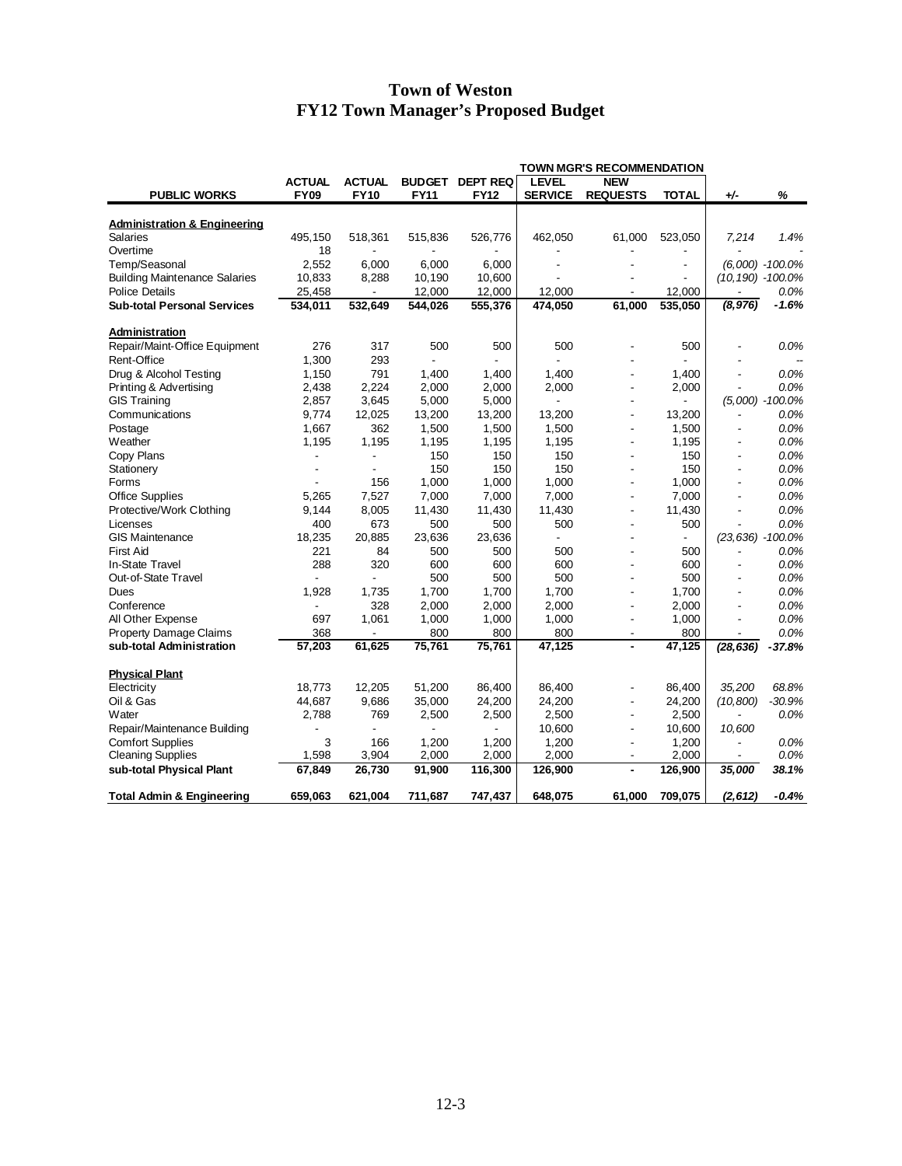|                                                           | <b>TOWN MGR'S RECOMMENDATION</b> |                |               |                 |                |                          |                                 |                          |                     |
|-----------------------------------------------------------|----------------------------------|----------------|---------------|-----------------|----------------|--------------------------|---------------------------------|--------------------------|---------------------|
|                                                           | <b>ACTUAL</b>                    | <b>ACTUAL</b>  | <b>BUDGET</b> | <b>DEPT REQ</b> | <b>LEVEL</b>   | <b>NEW</b>               |                                 |                          |                     |
| <b>PUBLIC WORKS</b>                                       | <b>FY09</b>                      | <b>FY10</b>    | <b>FY11</b>   | <b>FY12</b>     | <b>SERVICE</b> | <b>REQUESTS</b>          | <b>TOTAL</b>                    | +⁄-                      | %                   |
| <b>Administration &amp; Engineering</b>                   |                                  |                |               |                 |                |                          |                                 |                          |                     |
| <b>Salaries</b>                                           | 495,150                          | 518,361        | 515,836       | 526,776         | 462,050        | 61,000                   | 523,050                         | 7,214                    | 1.4%                |
| Overtime                                                  | 18                               |                |               |                 |                |                          |                                 |                          |                     |
| Temp/Seasonal                                             | 2,552                            | 6,000          | 6,000         | 6,000           |                |                          |                                 |                          | $(6,000) -100.0\%$  |
| <b>Building Maintenance Salaries</b>                      | 10,833                           | 8,288          | 10,190        | 10,600          |                |                          |                                 | $(10, 190) - 100.0\%$    |                     |
| <b>Police Details</b>                                     | 25,458                           |                | 12,000        | 12,000          | 12,000         |                          | 12,000                          |                          | 0.0%                |
| <b>Sub-total Personal Services</b>                        | 534,011                          | 532,649        | 544,026       | 555,376         | 474,050        | 61,000                   | 535,050                         | (8, 976)                 | -1.6%               |
| Administration                                            |                                  |                |               |                 |                |                          |                                 |                          |                     |
| Repair/Maint-Office Equipment                             | 276                              | 317            | 500           | 500             | 500            |                          | 500                             |                          | 0.0%                |
| Rent-Office                                               | 1,300                            | 293            |               |                 |                |                          |                                 |                          |                     |
| Drug & Alcohol Testing                                    | 1,150                            | 791            | 1,400         | 1,400           | 1.400          |                          | 1,400                           |                          | 0.0%                |
| Printing & Advertising                                    | 2,438                            | 2,224          | 2,000         | 2,000           | 2,000          | ÷,                       | 2,000                           |                          | 0.0%                |
| <b>GIS Training</b>                                       | 2,857                            | 3,645          | 5,000         | 5,000           |                |                          |                                 |                          | $(5,000) - 100.0\%$ |
| Communications                                            | 9,774                            | 12,025         | 13,200        | 13,200          | 13,200         | $\overline{a}$           | 13,200                          |                          | 0.0%                |
|                                                           | 1.667                            | 362            | 1,500         | 1,500           | 1,500          |                          | 1,500                           |                          | 0.0%                |
| Postage<br>Weather                                        | 1,195                            | 1,195          | 1,195         | 1,195           | 1,195          | $\overline{\phantom{a}}$ | 1,195                           | $\overline{\phantom{a}}$ | 0.0%                |
|                                                           |                                  |                | 150           | 150             | 150            |                          | 150                             |                          | 0.0%                |
| Copy Plans                                                |                                  |                | 150           | 150             | 150            |                          | 150                             |                          | 0.0%                |
| Stationery<br>Forms                                       |                                  | 156            | 1,000         | 1,000           | 1,000          |                          | 1,000                           | $\overline{a}$           | 0.0%                |
| <b>Office Supplies</b>                                    | 5,265                            | 7,527          | 7,000         | 7,000           | 7,000          |                          | 7,000                           | $\overline{a}$           | 0.0%                |
|                                                           |                                  |                |               |                 |                |                          |                                 |                          | 0.0%                |
| Protective/Work Clothing                                  | 9.144                            | 8,005          | 11,430        | 11,430          | 11,430         | $\overline{\phantom{a}}$ | 11,430                          | $\overline{\phantom{a}}$ | 0.0%                |
| Licenses<br><b>GIS Maintenance</b>                        | 400<br>18,235                    | 673<br>20,885  | 500<br>23,636 | 500<br>23,636   | 500            |                          | 500<br>$\overline{\phantom{a}}$ | (23,636) -100.0%         |                     |
| <b>First Aid</b>                                          | 221                              |                |               |                 |                |                          |                                 |                          |                     |
|                                                           |                                  | 84             | 500           | 500             | 500            |                          | 500                             |                          | 0.0%                |
| In-State Travel                                           | 288                              | 320            | 600           | 600             | 600<br>500     |                          | 600<br>500                      |                          | 0.0%                |
| Out-of-State Travel                                       |                                  |                | 500           | 500             |                |                          |                                 |                          | 0.0%                |
| Dues                                                      | 1,928                            | 1,735          | 1,700         | 1,700           | 1,700          |                          | 1,700                           | $\overline{a}$           | 0.0%                |
| Conference                                                |                                  | 328            | 2,000         | 2,000           | 2,000          |                          | 2,000                           |                          | 0.0%                |
| All Other Expense                                         | 697                              | 1,061          | 1,000         | 1,000           | 1,000          | ٠                        | 1,000                           | $\overline{\phantom{a}}$ | 0.0%<br>0.0%        |
| <b>Property Damage Claims</b><br>sub-total Administration | 368<br>57,203                    | 61,625         | 800<br>75,761 | 800<br>75,761   | 800<br>47,125  | ÷,<br>$\blacksquare$     | 800<br>47,125                   | (28, 636)                | $-37.8%$            |
|                                                           |                                  |                |               |                 |                |                          |                                 |                          |                     |
| <b>Physical Plant</b>                                     |                                  |                |               |                 |                |                          |                                 |                          |                     |
| Electricity                                               | 18,773                           | 12,205         | 51,200        | 86,400          | 86,400         |                          | 86,400                          | 35,200                   | 68.8%               |
| Oil & Gas                                                 | 44,687                           | 9,686          | 35,000        | 24,200          | 24,200         |                          | 24,200                          | (10, 800)                | $-30.9%$            |
| Water                                                     | 2,788                            | 769            | 2,500         | 2,500           | 2,500          |                          | 2,500                           |                          | 0.0%                |
| Repair/Maintenance Building                               |                                  | $\overline{a}$ |               |                 | 10,600         | ÷,                       | 10,600                          | 10,600                   |                     |
| <b>Comfort Supplies</b>                                   | 3                                | 166            | 1,200         | 1,200           | 1,200          | $\overline{\phantom{a}}$ | 1,200                           | ٠                        | 0.0%                |
| <b>Cleaning Supplies</b>                                  | 1,598                            | 3,904          | 2,000         | 2,000           | 2,000          |                          | 2,000                           |                          | 0.0%                |
| sub-total Physical Plant                                  | 67,849                           | 26,730         | 91,900        | 116,300         | 126,900        | $\blacksquare$           | 126,900                         | 35,000                   | 38.1%               |
| <b>Total Admin &amp; Engineering</b>                      | 659,063                          | 621,004        | 711,687       | 747,437         | 648,075        | 61,000                   | 709,075                         | (2, 612)                 | $-0.4%$             |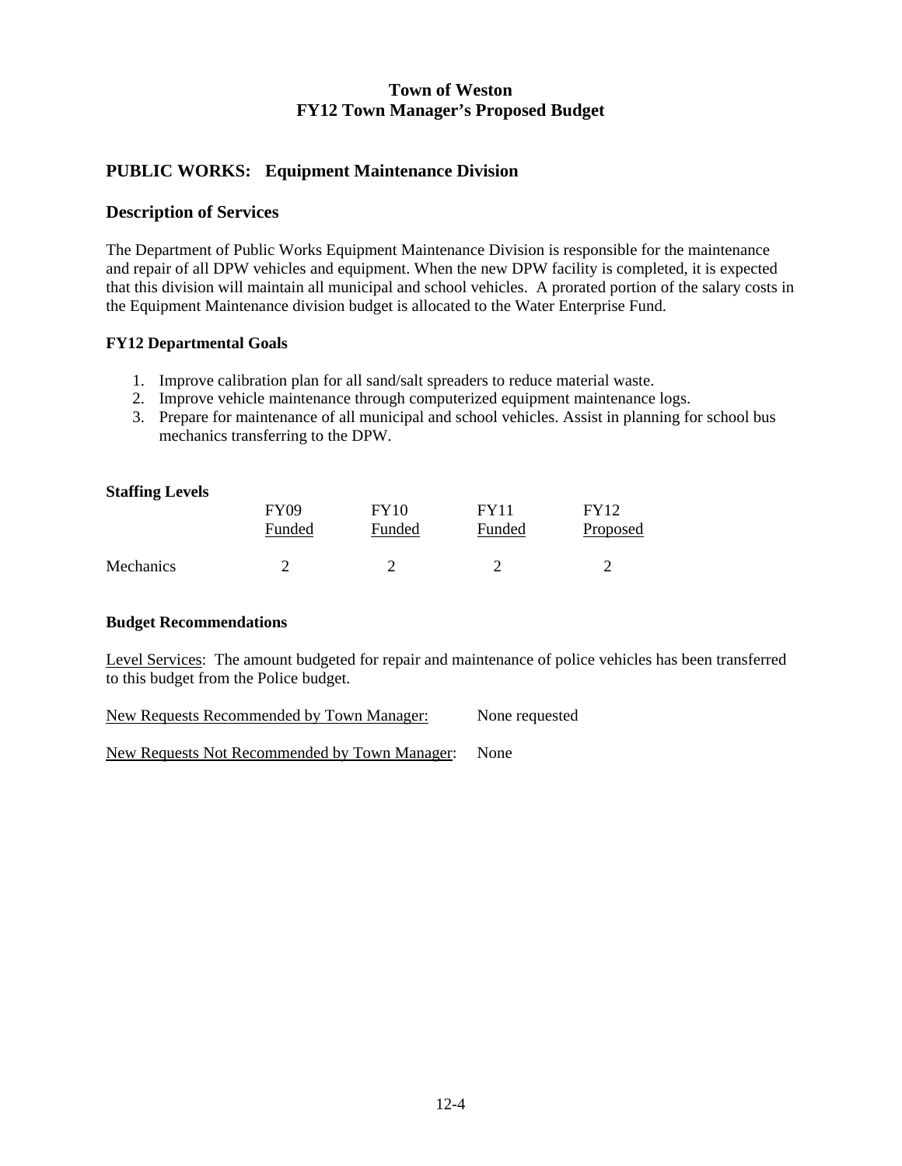### **PUBLIC WORKS: Equipment Maintenance Division**

### **Description of Services**

The Department of Public Works Equipment Maintenance Division is responsible for the maintenance and repair of all DPW vehicles and equipment. When the new DPW facility is completed, it is expected that this division will maintain all municipal and school vehicles. A prorated portion of the salary costs in the Equipment Maintenance division budget is allocated to the Water Enterprise Fund.

### **FY12 Departmental Goals**

- 1. Improve calibration plan for all sand/salt spreaders to reduce material waste.
- 2. Improve vehicle maintenance through computerized equipment maintenance logs.
- 3. Prepare for maintenance of all municipal and school vehicles. Assist in planning for school bus mechanics transferring to the DPW.

| <b>Staffing Levels</b> |                       |                       |                       |                         |
|------------------------|-----------------------|-----------------------|-----------------------|-------------------------|
|                        | <b>FY09</b><br>Funded | <b>FY10</b><br>Funded | <b>FY11</b><br>Funded | <b>FY12</b><br>Proposed |
| <b>Mechanics</b>       |                       |                       |                       |                         |

### **Budget Recommendations**

Level Services: The amount budgeted for repair and maintenance of police vehicles has been transferred to this budget from the Police budget.

New Requests Recommended by Town Manager: None requested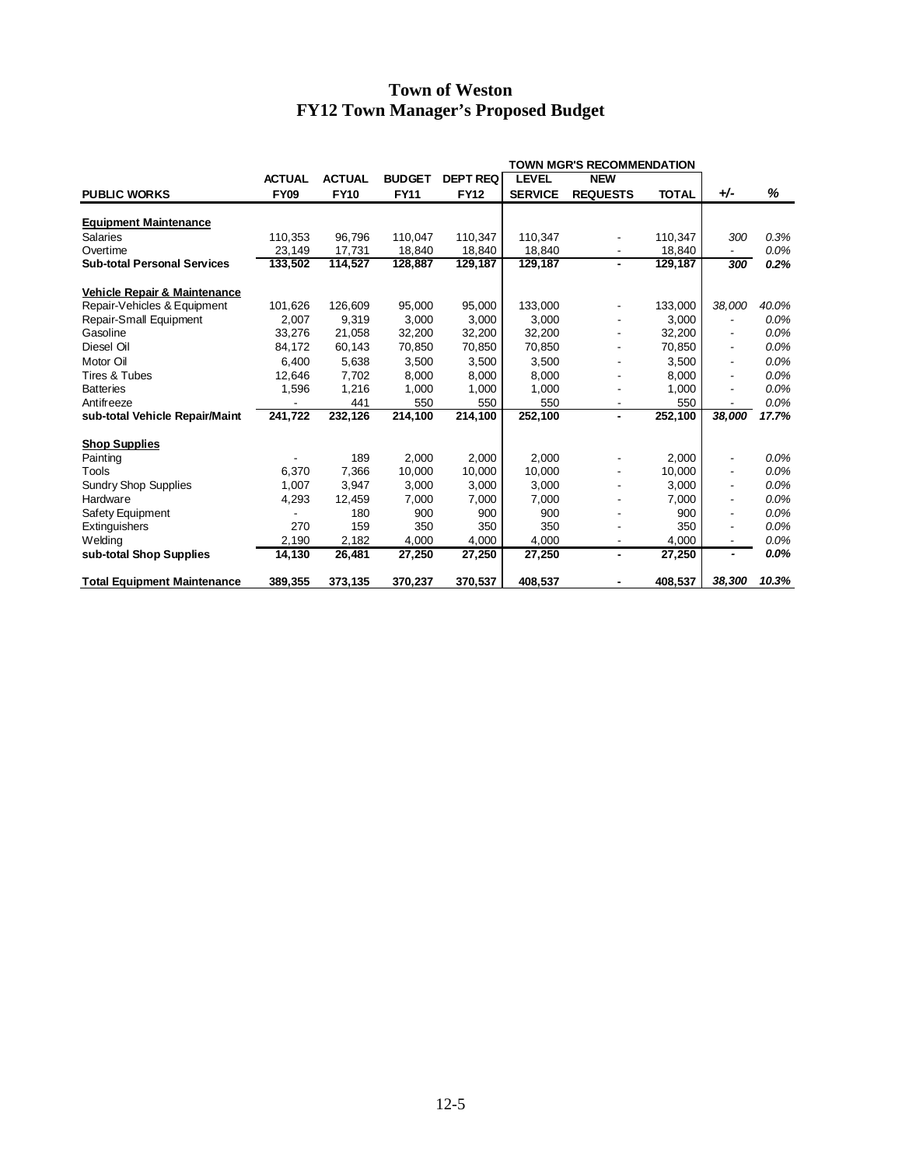|                                         | <b>TOWN MGR'S RECOMMENDATION</b> |               |               |                 |                |                 |              |                          |         |
|-----------------------------------------|----------------------------------|---------------|---------------|-----------------|----------------|-----------------|--------------|--------------------------|---------|
|                                         | <b>ACTUAL</b>                    | <b>ACTUAL</b> | <b>BUDGET</b> | <b>DEPT REQ</b> | <b>LEVEL</b>   | <b>NEW</b>      |              |                          |         |
| <b>PUBLIC WORKS</b>                     | <b>FY09</b>                      | <b>FY10</b>   | <b>FY11</b>   | <b>FY12</b>     | <b>SERVICE</b> | <b>REQUESTS</b> | <b>TOTAL</b> | +⁄-                      | %       |
| <b>Equipment Maintenance</b>            |                                  |               |               |                 |                |                 |              |                          |         |
| Salaries                                | 110.353                          | 96,796        | 110,047       | 110,347         | 110,347        |                 | 110,347      | 300                      | 0.3%    |
| Overtime                                | 23,149                           | 17,731        | 18,840        | 18,840          | 18,840         |                 | 18,840       |                          | 0.0%    |
| <b>Sub-total Personal Services</b>      | 133,502                          | 114,527       | 128,887       | 129,187         | 129,187        | ٠               | 129,187      | 300                      | 0.2%    |
| <b>Vehicle Repair &amp; Maintenance</b> |                                  |               |               |                 |                |                 |              |                          |         |
| Repair-Vehicles & Equipment             | 101,626                          | 126,609       | 95,000        | 95,000          | 133,000        |                 | 133,000      | 38,000                   | 40.0%   |
| Repair-Small Equipment                  | 2.007                            | 9.319         | 3,000         | 3.000           | 3.000          |                 | 3.000        |                          | 0.0%    |
| Gasoline                                | 33,276                           | 21,058        | 32,200        | 32,200          | 32,200         |                 | 32,200       |                          | 0.0%    |
| Diesel Oil                              | 84,172                           | 60,143        | 70,850        | 70,850          | 70,850         |                 | 70,850       | $\overline{\phantom{a}}$ | 0.0%    |
| Motor Oil                               | 6.400                            | 5,638         | 3,500         | 3,500           | 3,500          |                 | 3,500        |                          | 0.0%    |
| Tires & Tubes                           | 12.646                           | 7.702         | 8,000         | 8,000           | 8,000          |                 | 8,000        | $\overline{\phantom{a}}$ | 0.0%    |
| <b>Batteries</b>                        | 1,596                            | 1,216         | 1,000         | 1,000           | 1,000          |                 | 1,000        | ٠                        | 0.0%    |
| Antifreeze                              |                                  | 441           | 550           | 550             | 550            |                 | 550          | $\overline{\phantom{a}}$ | 0.0%    |
| sub-total Vehicle Repair/Maint          | 241,722                          | 232,126       | 214,100       | 214,100         | 252,100        | $\blacksquare$  | 252,100      | 38.000                   | 17.7%   |
| <b>Shop Supplies</b>                    |                                  |               |               |                 |                |                 |              |                          |         |
| Painting                                |                                  | 189           | 2,000         | 2,000           | 2.000          |                 | 2,000        |                          | $0.0\%$ |
| Tools                                   | 6.370                            | 7.366         | 10,000        | 10.000          | 10,000         |                 | 10,000       |                          | 0.0%    |
| <b>Sundry Shop Supplies</b>             | 1,007                            | 3,947         | 3,000         | 3,000           | 3,000          |                 | 3,000        |                          | 0.0%    |
| Hardware                                | 4,293                            | 12,459        | 7,000         | 7.000           | 7.000          |                 | 7,000        |                          | 0.0%    |
| Safety Equipment                        |                                  | 180           | 900           | 900             | 900            |                 | 900          | $\overline{\phantom{a}}$ | 0.0%    |
| Extinguishers                           | 270                              | 159           | 350           | 350             | 350            |                 | 350          | $\overline{\phantom{a}}$ | 0.0%    |
| Welding                                 | 2,190                            | 2,182         | 4,000         | 4,000           | 4,000          |                 | 4.000        | $\overline{\phantom{a}}$ | 0.0%    |
| sub-total Shop Supplies                 | 14.130                           | 26,481        | 27,250        | 27,250          | 27,250         | ٠               | 27,250       | $\blacksquare$           | 0.0%    |
| <b>Total Equipment Maintenance</b>      | 389,355                          | 373,135       | 370,237       | 370,537         | 408,537        |                 | 408,537      | 38,300                   | 10.3%   |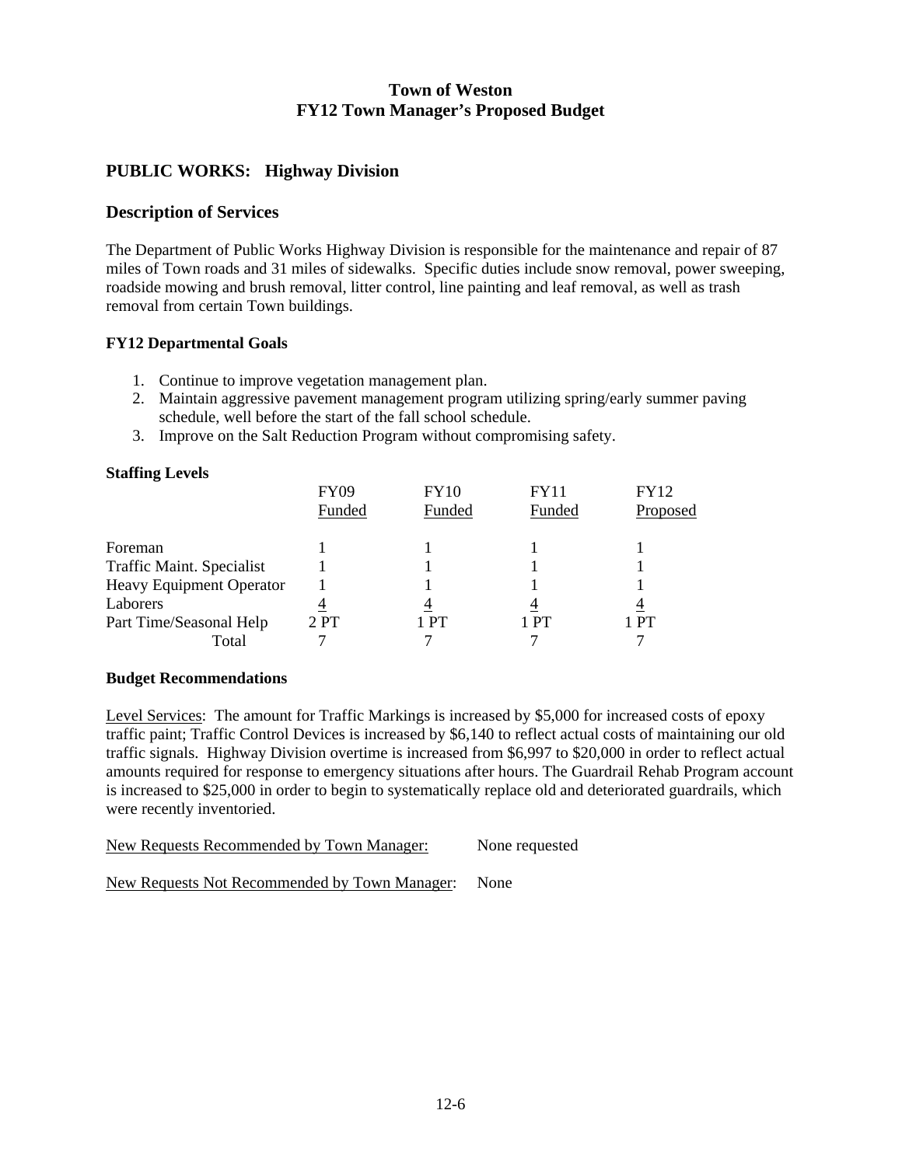### **PUBLIC WORKS: Highway Division**

### **Description of Services**

The Department of Public Works Highway Division is responsible for the maintenance and repair of 87 miles of Town roads and 31 miles of sidewalks. Specific duties include snow removal, power sweeping, roadside mowing and brush removal, litter control, line painting and leaf removal, as well as trash removal from certain Town buildings.

### **FY12 Departmental Goals**

- 1. Continue to improve vegetation management plan.
- 2. Maintain aggressive pavement management program utilizing spring/early summer paving schedule, well before the start of the fall school schedule.
- 3. Improve on the Salt Reduction Program without compromising safety.

### **Staffing Levels**

|                                  | <b>FY09</b><br>Funded | <b>FY10</b><br>Funded | <b>FY11</b><br>Funded | <b>FY12</b><br>Proposed |
|----------------------------------|-----------------------|-----------------------|-----------------------|-------------------------|
| Foreman                          |                       |                       |                       |                         |
| <b>Traffic Maint. Specialist</b> |                       |                       |                       |                         |
| Heavy Equipment Operator         |                       |                       |                       |                         |
| Laborers                         |                       |                       |                       |                         |
| Part Time/Seasonal Help          | 2PT                   | 1 PT                  | 1 PT                  | 1 PT                    |
| Total                            |                       |                       |                       |                         |

#### **Budget Recommendations**

Level Services: The amount for Traffic Markings is increased by \$5,000 for increased costs of epoxy traffic paint; Traffic Control Devices is increased by \$6,140 to reflect actual costs of maintaining our old traffic signals. Highway Division overtime is increased from \$6,997 to \$20,000 in order to reflect actual amounts required for response to emergency situations after hours. The Guardrail Rehab Program account is increased to \$25,000 in order to begin to systematically replace old and deteriorated guardrails, which were recently inventoried.

New Requests Recommended by Town Manager: None requested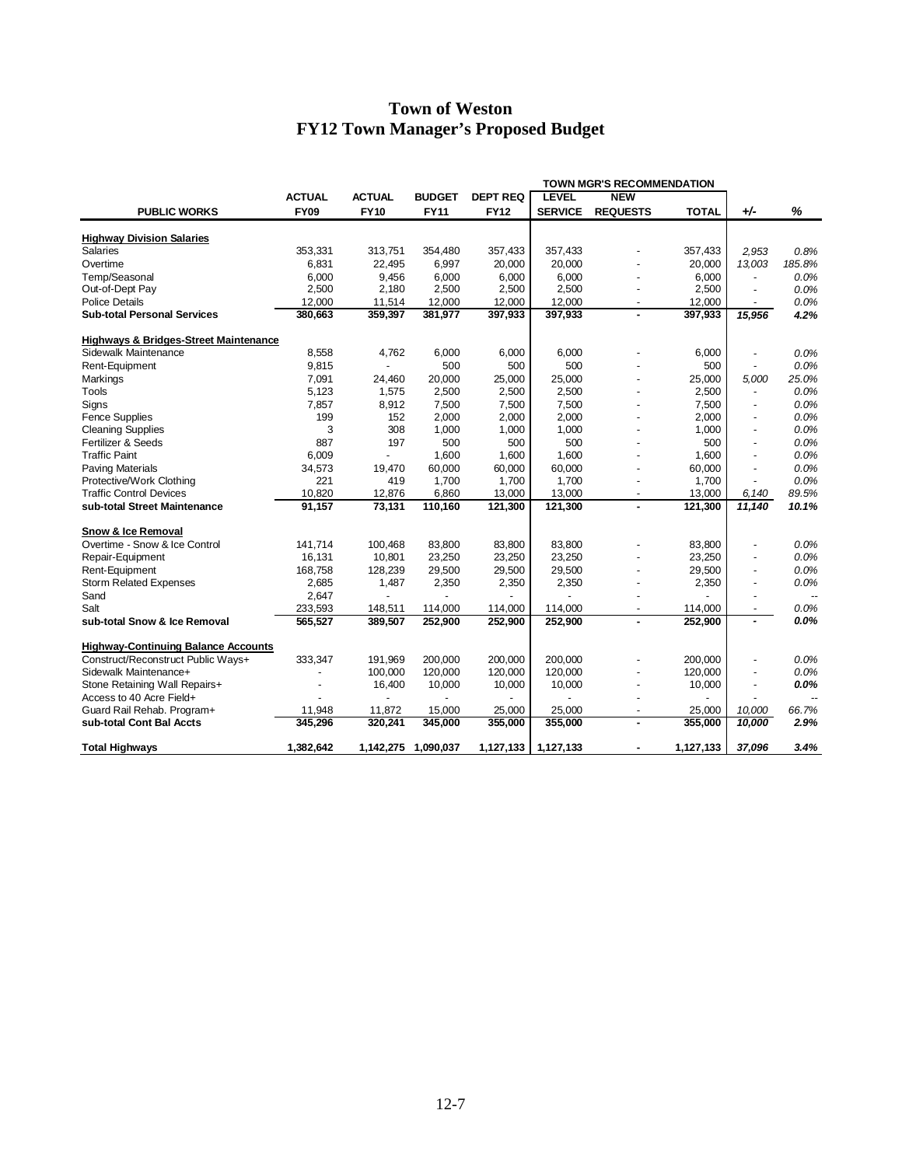|                                                  | <b>TOWN MGR'S RECOMMENDATION</b> |                          |                     |                 |                |                          |              |                          |                          |
|--------------------------------------------------|----------------------------------|--------------------------|---------------------|-----------------|----------------|--------------------------|--------------|--------------------------|--------------------------|
|                                                  | <b>ACTUAL</b>                    | <b>ACTUAL</b>            | <b>BUDGET</b>       | <b>DEPT REQ</b> | <b>LEVEL</b>   | <b>NEW</b>               |              |                          |                          |
| <b>PUBLIC WORKS</b>                              | <b>FY09</b>                      | <b>FY10</b>              | <b>FY11</b>         | <b>FY12</b>     | <b>SERVICE</b> | <b>REQUESTS</b>          | <b>TOTAL</b> | $+/-$                    | %                        |
| <b>Highway Division Salaries</b>                 |                                  |                          |                     |                 |                |                          |              |                          |                          |
| <b>Salaries</b>                                  | 353,331                          | 313,751                  | 354,480             | 357,433         | 357,433        |                          | 357,433      | 2,953                    | 0.8%                     |
| Overtime                                         | 6,831                            | 22,495                   | 6,997               | 20,000          | 20,000         |                          | 20,000       | 13,003                   | 185.8%                   |
| Temp/Seasonal                                    | 6,000                            | 9,456                    | 6,000               | 6,000           | 6,000          |                          | 6,000        |                          | 0.0%                     |
| Out-of-Dept Pay                                  | 2,500                            | 2,180                    | 2,500               | 2,500           | 2,500          |                          | 2,500        |                          | 0.0%                     |
| <b>Police Details</b>                            | 12,000                           | 11,514                   | 12,000              | 12,000          | 12,000         | $\blacksquare$           | 12,000       | $\overline{\phantom{a}}$ | 0.0%                     |
| <b>Sub-total Personal Services</b>               | 380,663                          | 359,397                  | 381,977             | 397,933         | 397,933        | $\blacksquare$           | 397,933      | 15,956                   | 4.2%                     |
| <b>Highways &amp; Bridges-Street Maintenance</b> |                                  |                          |                     |                 |                |                          |              |                          |                          |
| Sidewalk Maintenance                             | 8,558                            | 4,762                    | 6,000               | 6,000           | 6,000          |                          | 6,000        | ÷                        | 0.0%                     |
| Rent-Equipment                                   | 9,815                            | $\overline{a}$           | 500                 | 500             | 500            |                          | 500          | $\overline{a}$           | 0.0%                     |
| Markings                                         | 7.091                            | 24,460                   | 20,000              | 25,000          | 25,000         |                          | 25,000       | 5,000                    | 25.0%                    |
| <b>Tools</b>                                     | 5,123                            | 1,575                    | 2,500               | 2,500           | 2,500          |                          | 2,500        | $\overline{a}$           | 0.0%                     |
| Signs                                            | 7,857                            | 8,912                    | 7,500               | 7,500           | 7,500          |                          | 7,500        | $\overline{a}$           | 0.0%                     |
| <b>Fence Supplies</b>                            | 199                              | 152                      | 2,000               | 2,000           | 2,000          |                          | 2.000        | $\overline{a}$           | 0.0%                     |
| <b>Cleaning Supplies</b>                         | 3                                | 308                      | 1,000               | 1,000           | 1,000          |                          | 1,000        |                          | 0.0%                     |
| Fertilizer & Seeds                               | 887                              | 197                      | 500                 | 500             | 500            |                          | 500          | $\overline{\phantom{a}}$ | 0.0%                     |
| <b>Traffic Paint</b>                             | 6,009                            |                          | 1,600               | 1,600           | 1,600          |                          | 1,600        | $\overline{a}$           | 0.0%                     |
| <b>Paving Materials</b>                          | 34,573                           | 19,470                   | 60,000              | 60,000          | 60,000         |                          | 60,000       | ÷,                       | 0.0%                     |
| Protective/Work Clothing                         | 221                              | 419                      | 1,700               | 1.700           | 1,700          | $\overline{\phantom{a}}$ | 1,700        | $\overline{\phantom{a}}$ | 0.0%                     |
| <b>Traffic Control Devices</b>                   | 10,820                           | 12,876                   | 6,860               | 13,000          | 13,000         | $\overline{\phantom{a}}$ | 13,000       | 6,140                    | 89.5%                    |
| sub-total Street Maintenance                     | 91,157                           | 73,131                   | 110,160             | 121,300         | 121,300        | $\blacksquare$           | 121,300      | 11,140                   | 10.1%                    |
| Snow & Ice Removal                               |                                  |                          |                     |                 |                |                          |              |                          |                          |
| Overtime - Snow & Ice Control                    | 141,714                          | 100,468                  | 83,800              | 83,800          | 83,800         |                          | 83,800       |                          | 0.0%                     |
| Repair-Equipment                                 | 16,131                           | 10,801                   | 23,250              | 23,250          | 23,250         |                          | 23,250       | $\overline{a}$           | 0.0%                     |
| Rent-Equipment                                   | 168,758                          | 128,239                  | 29,500              | 29,500          | 29,500         |                          | 29,500       | $\overline{\phantom{a}}$ | 0.0%                     |
| <b>Storm Related Expenses</b>                    | 2,685                            | 1,487                    | 2,350               | 2,350           | 2,350          |                          | 2,350        | $\overline{\phantom{a}}$ | 0.0%                     |
| Sand                                             | 2,647                            | $\overline{\phantom{a}}$ |                     |                 |                |                          |              |                          | $\overline{\phantom{a}}$ |
| Salt                                             | 233,593                          | 148,511                  | 114,000             | 114,000         | 114,000        | $\overline{\phantom{a}}$ | 114,000      | $\overline{\phantom{a}}$ | 0.0%                     |
| sub-total Snow & Ice Removal                     | 565,527                          | 389,507                  | 252,900             | 252,900         | 252,900        | $\blacksquare$           | 252,900      | $\blacksquare$           | 0.0%                     |
| <b>Highway-Continuing Balance Accounts</b>       |                                  |                          |                     |                 |                |                          |              |                          |                          |
| Construct/Reconstruct Public Ways+               | 333,347                          | 191,969                  | 200,000             | 200,000         | 200,000        |                          | 200,000      |                          | 0.0%                     |
| Sidewalk Maintenance+                            |                                  | 100,000                  | 120,000             | 120,000         | 120.000        |                          | 120,000      | ÷,                       | 0.0%                     |
| Stone Retaining Wall Repairs+                    |                                  | 16,400                   | 10,000              | 10,000          | 10,000         |                          | 10,000       | $\overline{\phantom{a}}$ | $0.0\%$                  |
| Access to 40 Acre Field+                         |                                  |                          |                     |                 |                |                          |              |                          |                          |
| Guard Rail Rehab. Program+                       | 11,948                           | 11,872                   | 15,000              | 25,000          | 25,000         |                          | 25,000       | 10,000                   | 66.7%                    |
| sub-total Cont Bal Accts                         | 345,296                          | 320,241                  | 345,000             | 355,000         | 355,000        |                          | 355,000      | 10,000                   | 2.9%                     |
| <b>Total Highways</b>                            | 1,382,642                        |                          | 1,142,275 1,090,037 | 1,127,133       | 1,127,133      |                          | 1,127,133    | 37,096                   | 3.4%                     |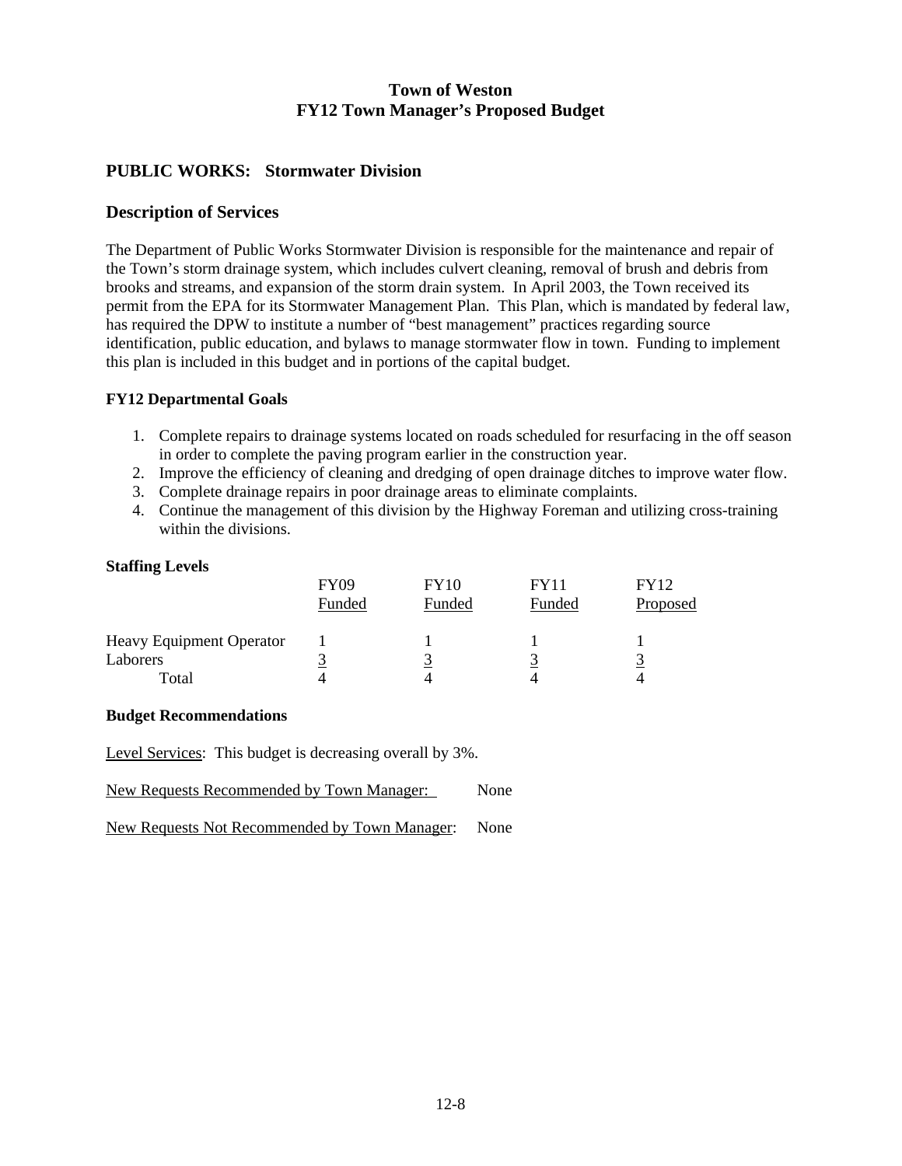### **PUBLIC WORKS: Stormwater Division**

### **Description of Services**

The Department of Public Works Stormwater Division is responsible for the maintenance and repair of the Town's storm drainage system, which includes culvert cleaning, removal of brush and debris from brooks and streams, and expansion of the storm drain system. In April 2003, the Town received its permit from the EPA for its Stormwater Management Plan. This Plan, which is mandated by federal law, has required the DPW to institute a number of "best management" practices regarding source identification, public education, and bylaws to manage stormwater flow in town. Funding to implement this plan is included in this budget and in portions of the capital budget.

#### **FY12 Departmental Goals**

- 1. Complete repairs to drainage systems located on roads scheduled for resurfacing in the off season in order to complete the paving program earlier in the construction year.
- 2. Improve the efficiency of cleaning and dredging of open drainage ditches to improve water flow.
- 3. Complete drainage repairs in poor drainage areas to eliminate complaints.
- 4. Continue the management of this division by the Highway Foreman and utilizing cross-training within the divisions.

#### **Staffing Levels**

|                                             | <b>FY09</b><br>Funded | <b>FY10</b><br>Funded | <b>FY11</b><br>Funded | FY12<br>Proposed |
|---------------------------------------------|-----------------------|-----------------------|-----------------------|------------------|
| <b>Heavy Equipment Operator</b><br>Laborers |                       |                       |                       |                  |
| Total                                       |                       | 4                     |                       |                  |

#### **Budget Recommendations**

Level Services: This budget is decreasing overall by 3%.

New Requests Recommended by Town Manager: None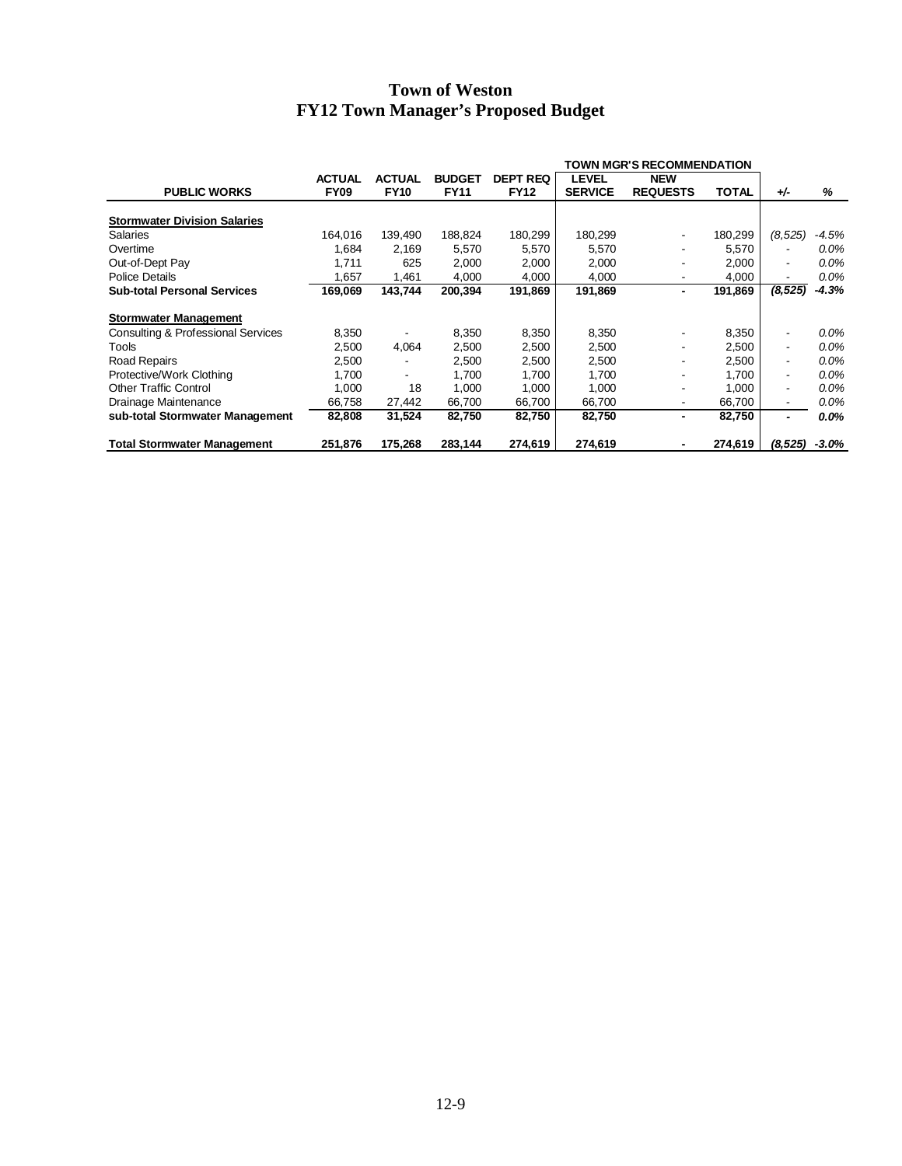|                                     |               |               |               |                 | <b>TOWN MGR'S RECOMMENDATION</b> |                 |              |                          |          |
|-------------------------------------|---------------|---------------|---------------|-----------------|----------------------------------|-----------------|--------------|--------------------------|----------|
|                                     | <b>ACTUAL</b> | <b>ACTUAL</b> | <b>BUDGET</b> | <b>DEPT REQ</b> | <b>LEVEL</b>                     | <b>NEW</b>      |              |                          |          |
| <b>PUBLIC WORKS</b>                 | <b>FY09</b>   | <b>FY10</b>   | <b>FY11</b>   | <b>FY12</b>     | <b>SERVICE</b>                   | <b>REQUESTS</b> | <b>TOTAL</b> | $+/-$                    | %        |
|                                     |               |               |               |                 |                                  |                 |              |                          |          |
| <b>Stormwater Division Salaries</b> |               |               |               |                 |                                  |                 |              |                          |          |
| <b>Salaries</b>                     | 164.016       | 139.490       | 188,824       | 180,299         | 180,299                          |                 | 180,299      | (8,525)                  | -4.5%    |
| Overtime                            | 1,684         | 2,169         | 5,570         | 5,570           | 5,570                            |                 | 5,570        |                          | 0.0%     |
| Out-of-Dept Pay                     | 1,711         | 625           | 2,000         | 2,000           | 2,000                            |                 | 2,000        | $\overline{\phantom{a}}$ | $0.0\%$  |
| <b>Police Details</b>               | 1,657         | 1,461         | 4,000         | 4,000           | 4,000                            | ۰               | 4,000        | $\overline{\phantom{0}}$ | 0.0%     |
| <b>Sub-total Personal Services</b>  | 169,069       | 143,744       | 200,394       | 191,869         | 191,869                          | $\blacksquare$  | 191,869      | (8, 525)                 | $-4.3%$  |
| <b>Stormwater Management</b>        |               |               |               |                 |                                  |                 |              |                          |          |
| Consulting & Professional Services  | 8,350         |               | 8,350         | 8,350           | 8,350                            |                 | 8,350        | $\overline{\phantom{a}}$ | 0.0%     |
| Tools                               | 2,500         | 4,064         | 2,500         | 2,500           | 2,500                            | ٠               | 2,500        | $\overline{\phantom{a}}$ | 0.0%     |
| Road Repairs                        | 2,500         |               | 2,500         | 2,500           | 2,500                            |                 | 2,500        | $\overline{\phantom{a}}$ | 0.0%     |
| Protective/Work Clothing            | 1,700         |               | 1,700         | 1,700           | 1,700                            |                 | 1,700        | $\overline{\phantom{a}}$ | 0.0%     |
| <b>Other Traffic Control</b>        | 1,000         | 18            | 1,000         | 1,000           | 1,000                            |                 | 1,000        | -                        | 0.0%     |
|                                     |               |               |               |                 |                                  |                 |              |                          |          |
| Drainage Maintenance                | 66,758        | 27,442        | 66,700        | 66,700          | 66,700                           | ۰               | 66,700       | $\overline{\phantom{a}}$ | 0.0%     |
| sub-total Stormwater Management     | 82,808        | 31,524        | 82,750        | 82,750          | 82,750                           | ۰.              | 82,750       | $\overline{a}$           | $0.0\%$  |
| <b>Total Stormwater Management</b>  | 251,876       | 175,268       | 283,144       | 274,619         | 274,619                          |                 | 274,619      | (8, 525)                 | $-3.0\%$ |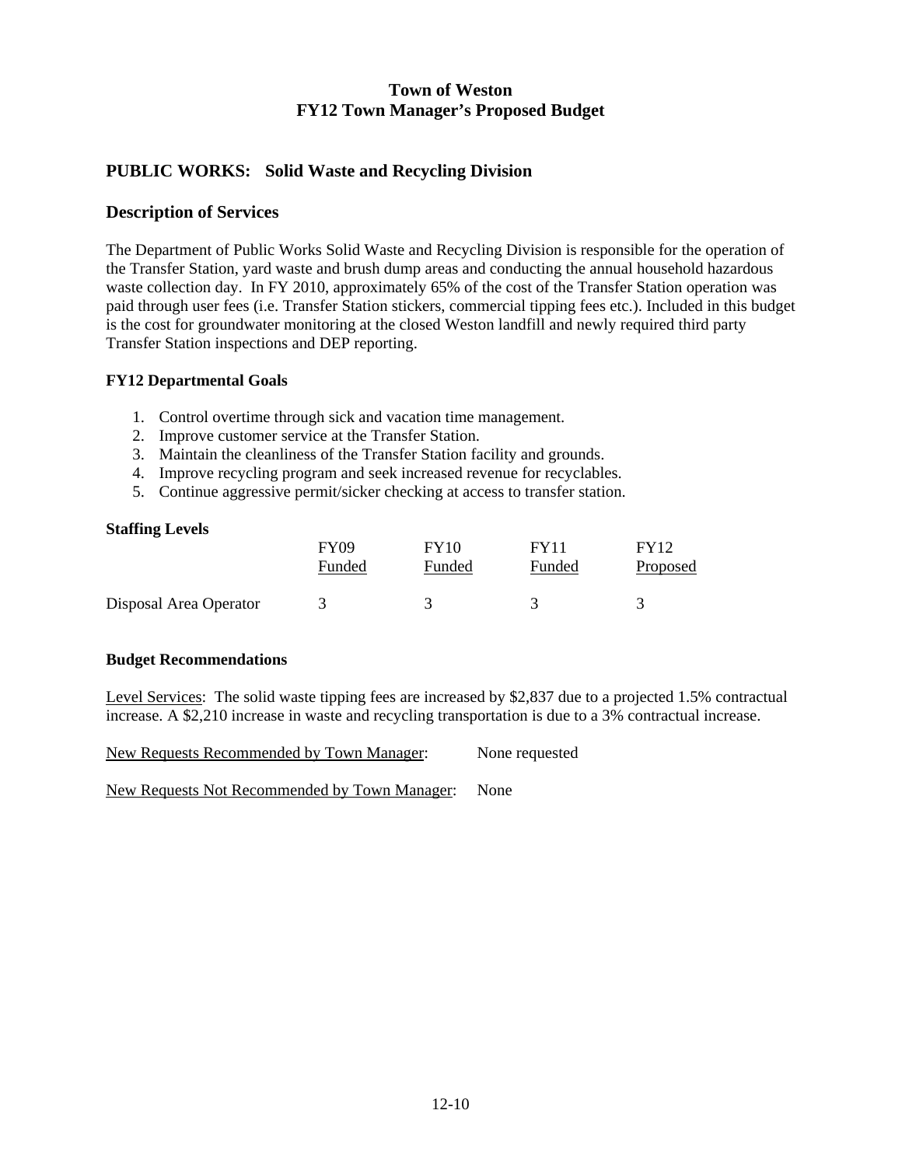### **PUBLIC WORKS: Solid Waste and Recycling Division**

### **Description of Services**

The Department of Public Works Solid Waste and Recycling Division is responsible for the operation of the Transfer Station, yard waste and brush dump areas and conducting the annual household hazardous waste collection day. In FY 2010, approximately 65% of the cost of the Transfer Station operation was paid through user fees (i.e. Transfer Station stickers, commercial tipping fees etc.). Included in this budget is the cost for groundwater monitoring at the closed Weston landfill and newly required third party Transfer Station inspections and DEP reporting.

### **FY12 Departmental Goals**

- 1. Control overtime through sick and vacation time management.
- 2. Improve customer service at the Transfer Station.
- 3. Maintain the cleanliness of the Transfer Station facility and grounds.
- 4. Improve recycling program and seek increased revenue for recyclables.
- 5. Continue aggressive permit/sicker checking at access to transfer station.

#### **Staffing Levels**

|                        | <b>FY09</b> | FY10   | FY11   | <b>FY12</b> |
|------------------------|-------------|--------|--------|-------------|
|                        | Funded      | Funded | Funded | Proposed    |
| Disposal Area Operator |             |        |        |             |

#### **Budget Recommendations**

Level Services: The solid waste tipping fees are increased by \$2,837 due to a projected 1.5% contractual increase. A \$2,210 increase in waste and recycling transportation is due to a 3% contractual increase.

New Requests Recommended by Town Manager: None requested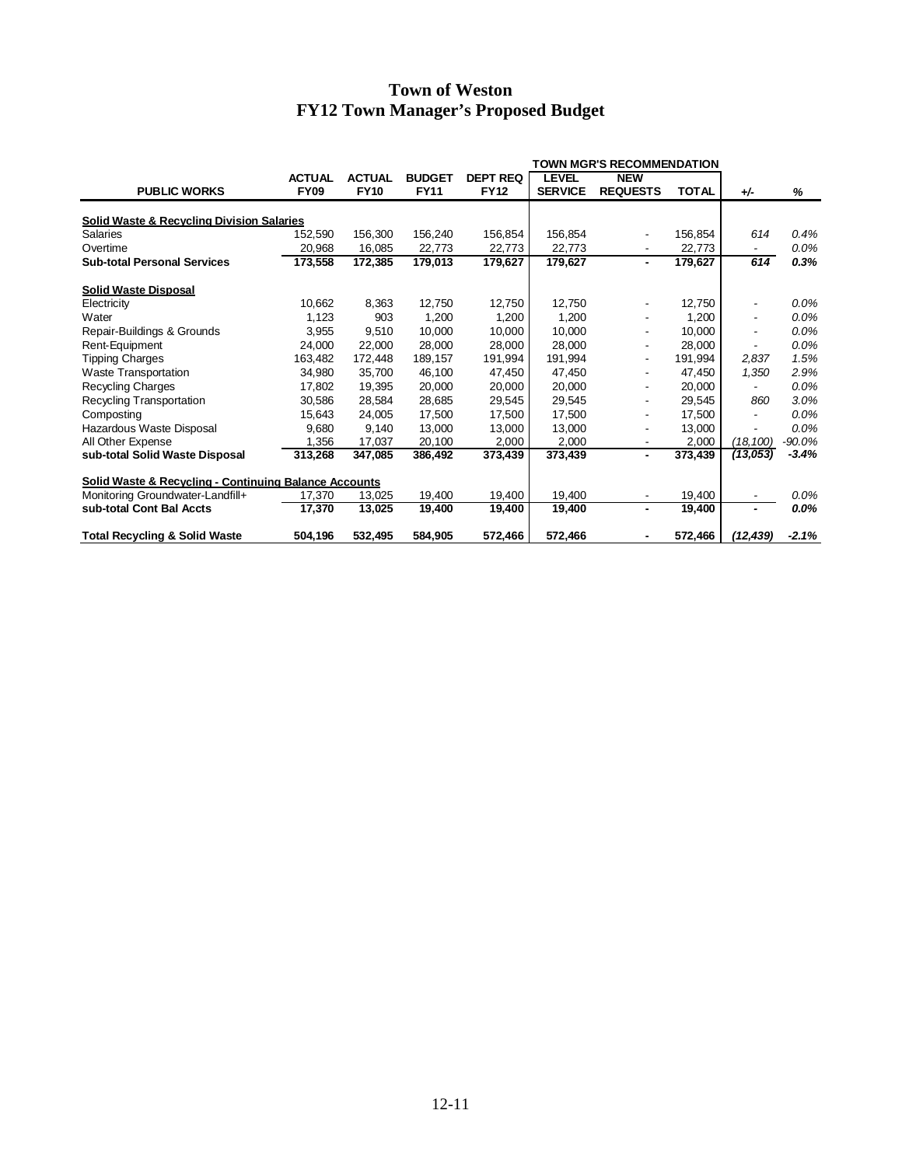|                                                                  | <b>TOWN MGR'S RECOMMENDATION</b> |               |               |                 |                |                 |              |                          |         |
|------------------------------------------------------------------|----------------------------------|---------------|---------------|-----------------|----------------|-----------------|--------------|--------------------------|---------|
|                                                                  | <b>ACTUAL</b>                    | <b>ACTUAL</b> | <b>BUDGET</b> | <b>DEPT REQ</b> | <b>LEVEL</b>   | <b>NEW</b>      |              |                          |         |
| <b>PUBLIC WORKS</b>                                              | <b>FY09</b>                      | <b>FY10</b>   | <b>FY11</b>   | <b>FY12</b>     | <b>SERVICE</b> | <b>REQUESTS</b> | <b>TOTAL</b> | $+/-$                    | %       |
| <b>Solid Waste &amp; Recycling Division Salaries</b>             |                                  |               |               |                 |                |                 |              |                          |         |
| Salaries                                                         | 152,590                          | 156,300       | 156,240       | 156,854         | 156,854        |                 | 156,854      | 614                      | 0.4%    |
| Overtime                                                         | 20,968                           | 16,085        | 22,773        | 22,773          | 22,773         |                 | 22,773       | $\overline{\phantom{0}}$ | $0.0\%$ |
| <b>Sub-total Personal Services</b>                               | 173,558                          | 172,385       | 179,013       | 179,627         | 179,627        | ۰.              | 179,627      | 614                      | 0.3%    |
| <b>Solid Waste Disposal</b>                                      |                                  |               |               |                 |                |                 |              |                          |         |
| Electricity                                                      | 10,662                           | 8,363         | 12,750        | 12,750          | 12,750         |                 | 12,750       |                          | $0.0\%$ |
| Water                                                            | 1,123                            | 903           | 1,200         | 1,200           | 1,200          |                 | 1,200        |                          | $0.0\%$ |
| Repair-Buildings & Grounds                                       | 3,955                            | 9,510         | 10,000        | 10,000          | 10,000         |                 | 10,000       |                          | $0.0\%$ |
| Rent-Equipment                                                   | 24,000                           | 22,000        | 28,000        | 28,000          | 28,000         |                 | 28,000       | $\overline{\phantom{0}}$ | $0.0\%$ |
| <b>Tipping Charges</b>                                           | 163,482                          | 172,448       | 189,157       | 191,994         | 191,994        |                 | 191,994      | 2.837                    | 1.5%    |
| <b>Waste Transportation</b>                                      | 34.980                           | 35.700        | 46,100        | 47,450          | 47,450         |                 | 47.450       | 1,350                    | 2.9%    |
| <b>Recycling Charges</b>                                         | 17,802                           | 19,395        | 20,000        | 20,000          | 20,000         |                 | 20,000       | $\overline{\phantom{0}}$ | 0.0%    |
| Recycling Transportation                                         | 30,586                           | 28,584        | 28,685        | 29,545          | 29,545         | -               | 29,545       | 860                      | 3.0%    |
| Composting                                                       | 15,643                           | 24,005        | 17,500        | 17,500          | 17,500         |                 | 17,500       |                          | $0.0\%$ |
| Hazardous Waste Disposal                                         | 9,680                            | 9,140         | 13,000        | 13,000          | 13,000         |                 | 13,000       |                          | $0.0\%$ |
| All Other Expense                                                | 1,356                            | 17,037        | 20,100        | 2,000           | 2,000          |                 | 2,000        | (18, 100)                | -90.0%  |
| sub-total Solid Waste Disposal                                   | 313,268                          | 347,085       | 386,492       | 373,439         | 373,439        | $\blacksquare$  | 373,439      | (13,053)                 | $-3.4%$ |
| <b>Solid Waste &amp; Recycling - Continuing Balance Accounts</b> |                                  |               |               |                 |                |                 |              |                          |         |
| Monitoring Groundwater-Landfill+                                 | 17,370                           | 13.025        | 19,400        | 19,400          | 19,400         |                 | 19,400       | $\overline{\phantom{a}}$ | 0.0%    |
| sub-total Cont Bal Accts                                         | 17,370                           | 13,025        | 19,400        | 19,400          | 19,400         | ٠               | 19,400       |                          | $0.0\%$ |
| <b>Total Recycling &amp; Solid Waste</b>                         | 504.196                          | 532.495       | 584.905       | 572,466         | 572,466        |                 | 572,466      | (12, 439)                | $-2.1%$ |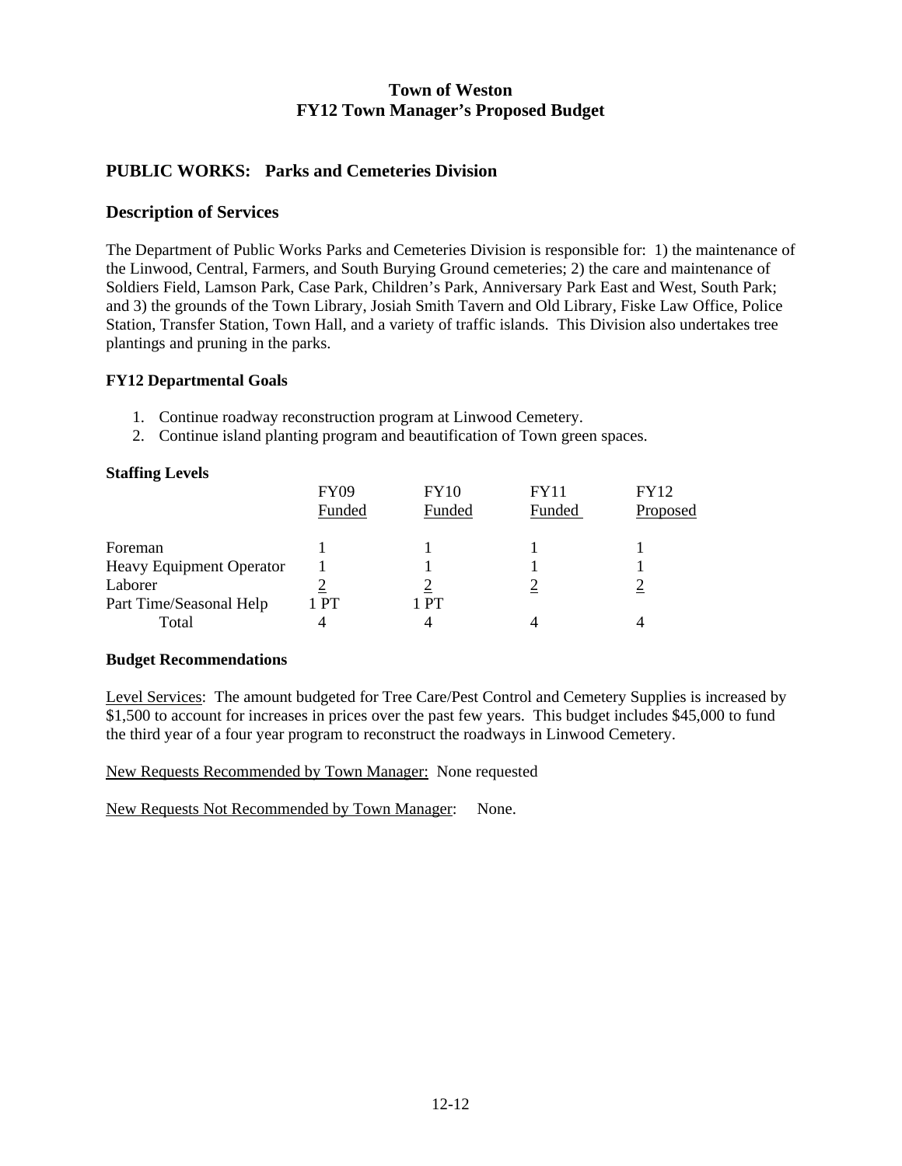### **PUBLIC WORKS: Parks and Cemeteries Division**

### **Description of Services**

The Department of Public Works Parks and Cemeteries Division is responsible for: 1) the maintenance of the Linwood, Central, Farmers, and South Burying Ground cemeteries; 2) the care and maintenance of Soldiers Field, Lamson Park, Case Park, Children's Park, Anniversary Park East and West, South Park; and 3) the grounds of the Town Library, Josiah Smith Tavern and Old Library, Fiske Law Office, Police Station, Transfer Station, Town Hall, and a variety of traffic islands. This Division also undertakes tree plantings and pruning in the parks.

#### **FY12 Departmental Goals**

- 1. Continue roadway reconstruction program at Linwood Cemetery.
- 2. Continue island planting program and beautification of Town green spaces.

| <b>Staffing Levels</b>   |                       |                       |                       |                         |
|--------------------------|-----------------------|-----------------------|-----------------------|-------------------------|
|                          | <b>FY09</b><br>Funded | <b>FY10</b><br>Funded | <b>FY11</b><br>Funded | <b>FY12</b><br>Proposed |
| Foreman                  |                       |                       |                       |                         |
| Heavy Equipment Operator |                       |                       |                       |                         |
| Laborer                  |                       |                       |                       |                         |
| Part Time/Seasonal Help  | PT                    | l PT                  |                       |                         |
| Total                    |                       |                       |                       |                         |

### **Budget Recommendations**

Level Services: The amount budgeted for Tree Care/Pest Control and Cemetery Supplies is increased by \$1,500 to account for increases in prices over the past few years. This budget includes \$45,000 to fund the third year of a four year program to reconstruct the roadways in Linwood Cemetery.

New Requests Recommended by Town Manager: None requested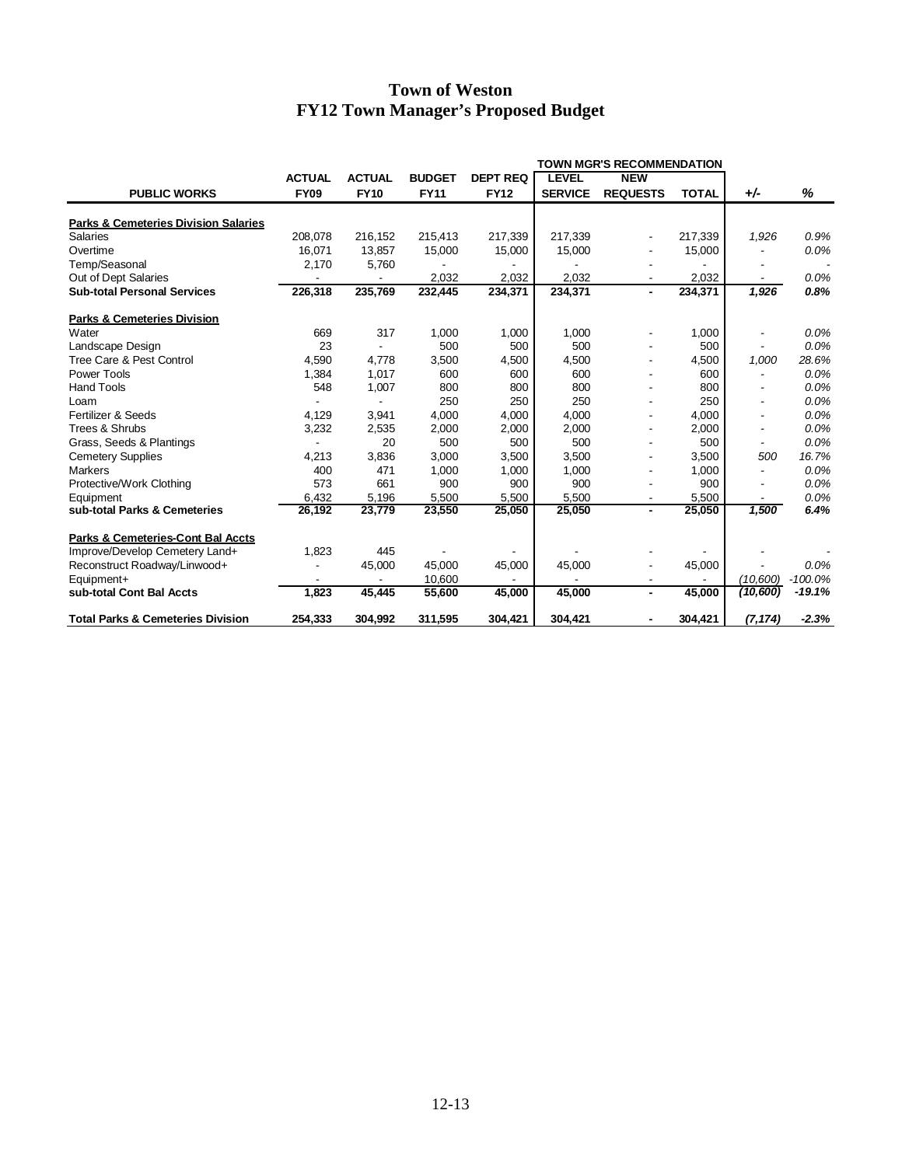|                                                 | <b>TOWN MGR'S RECOMMENDATION</b> |               |               |                 |                |                 |              |           |           |
|-------------------------------------------------|----------------------------------|---------------|---------------|-----------------|----------------|-----------------|--------------|-----------|-----------|
| <b>PUBLIC WORKS</b>                             | <b>ACTUAL</b>                    | <b>ACTUAL</b> | <b>BUDGET</b> | <b>DEPT REQ</b> | <b>LEVEL</b>   | <b>NEW</b>      |              |           |           |
|                                                 | <b>FY09</b>                      | <b>FY10</b>   | <b>FY11</b>   | <b>FY12</b>     | <b>SERVICE</b> | <b>REQUESTS</b> | <b>TOTAL</b> | $+/-$     | %         |
| <b>Parks &amp; Cemeteries Division Salaries</b> |                                  |               |               |                 |                |                 |              |           |           |
| <b>Salaries</b>                                 | 208,078                          | 216,152       | 215,413       | 217,339         | 217,339        |                 | 217,339      | 1,926     | 0.9%      |
| Overtime                                        | 16.071                           | 13,857        | 15,000        | 15,000          | 15,000         |                 | 15,000       |           | 0.0%      |
| Temp/Seasonal                                   | 2,170                            | 5,760         |               |                 |                |                 |              |           |           |
| Out of Dept Salaries                            |                                  |               | 2,032         | 2,032           | 2,032          |                 | 2,032        |           | 0.0%      |
| <b>Sub-total Personal Services</b>              | 226,318                          | 235,769       | 232,445       | 234,371         | 234,371        | $\blacksquare$  | 234,371      | 1,926     | 0.8%      |
| <b>Parks &amp; Cemeteries Division</b>          |                                  |               |               |                 |                |                 |              |           |           |
| Water                                           | 669                              | 317           | 1,000         | 1,000           | 1,000          |                 | 1,000        |           | 0.0%      |
| Landscape Design                                | 23                               |               | 500           | 500             | 500            |                 | 500          |           | 0.0%      |
| Tree Care & Pest Control                        | 4,590                            | 4,778         | 3,500         | 4,500           | 4,500          |                 | 4,500        | 1,000     | 28.6%     |
| Power Tools                                     | 1,384                            | 1,017         | 600           | 600             | 600            |                 | 600          |           | 0.0%      |
| <b>Hand Tools</b>                               | 548                              | 1,007         | 800           | 800             | 800            |                 | 800          |           | 0.0%      |
| Loam                                            |                                  |               | 250           | 250             | 250            |                 | 250          |           | 0.0%      |
| Fertilizer & Seeds                              | 4,129                            | 3,941         | 4,000         | 4,000           | 4,000          |                 | 4,000        |           | 0.0%      |
| Trees & Shrubs                                  | 3,232                            | 2,535         | 2,000         | 2,000           | 2,000          |                 | 2,000        |           | 0.0%      |
| Grass, Seeds & Plantings                        |                                  | 20            | 500           | 500             | 500            |                 | 500          |           | 0.0%      |
| <b>Cemetery Supplies</b>                        | 4,213                            | 3,836         | 3,000         | 3,500           | 3,500          |                 | 3.500        | 500       | 16.7%     |
| <b>Markers</b>                                  | 400                              | 471           | 1,000         | 1,000           | 1,000          |                 | 1,000        |           | 0.0%      |
| Protective/Work Clothing                        | 573                              | 661           | 900           | 900             | 900            |                 | 900          |           | 0.0%      |
| Equipment                                       | 6.432                            | 5.196         | 5,500         | 5.500           | 5,500          |                 | 5,500        |           | 0.0%      |
| sub-total Parks & Cemeteries                    | 26,192                           | 23,779        | 23,550        | 25,050          | 25,050         | $\blacksquare$  | 25,050       | 1,500     | 6.4%      |
| <b>Parks &amp; Cemeteries-Cont Bal Accts</b>    |                                  |               |               |                 |                |                 |              |           |           |
| Improve/Develop Cemetery Land+                  | 1,823                            | 445           |               |                 |                |                 |              |           |           |
| Reconstruct Roadway/Linwood+                    |                                  | 45,000        | 45,000        | 45,000          | 45,000         |                 | 45,000       |           | 0.0%      |
| Equipment+                                      |                                  |               | 10,600        |                 |                |                 |              | (10,600)  | $-100.0%$ |
| sub-total Cont Bal Accts                        | 1,823                            | 45,445        | 55,600        | 45,000          | 45,000         | $\blacksquare$  | 45,000       | (10, 600) | $-19.1%$  |
| <b>Total Parks &amp; Cemeteries Division</b>    | 254,333                          | 304,992       | 311,595       | 304,421         | 304,421        |                 | 304,421      | (7, 174)  | $-2.3%$   |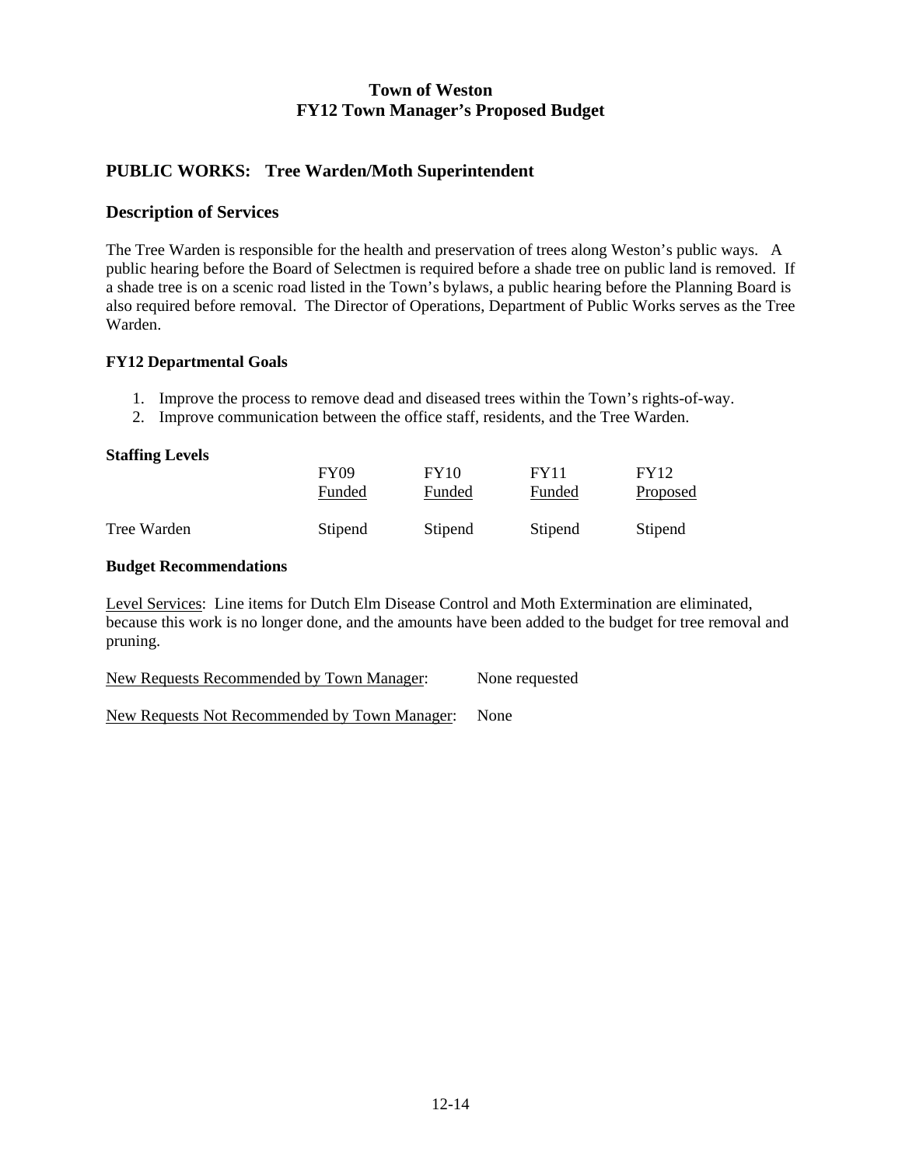### **PUBLIC WORKS: Tree Warden/Moth Superintendent**

### **Description of Services**

The Tree Warden is responsible for the health and preservation of trees along Weston's public ways. A public hearing before the Board of Selectmen is required before a shade tree on public land is removed. If a shade tree is on a scenic road listed in the Town's bylaws, a public hearing before the Planning Board is also required before removal. The Director of Operations, Department of Public Works serves as the Tree Warden.

### **FY12 Departmental Goals**

- 1. Improve the process to remove dead and diseased trees within the Town's rights-of-way.
- 2. Improve communication between the office staff, residents, and the Tree Warden.

#### **Staffing Levels**

|             | <b>FY09</b> | <b>FY10</b> | FY11    | <b>FY12</b>     |
|-------------|-------------|-------------|---------|-----------------|
|             | Funded      | Funded      | Funded  | <b>Proposed</b> |
| Tree Warden | Stipend     | Stipend     | Stipend | Stipend         |

#### **Budget Recommendations**

Level Services: Line items for Dutch Elm Disease Control and Moth Extermination are eliminated, because this work is no longer done, and the amounts have been added to the budget for tree removal and pruning.

New Requests Recommended by Town Manager: None requested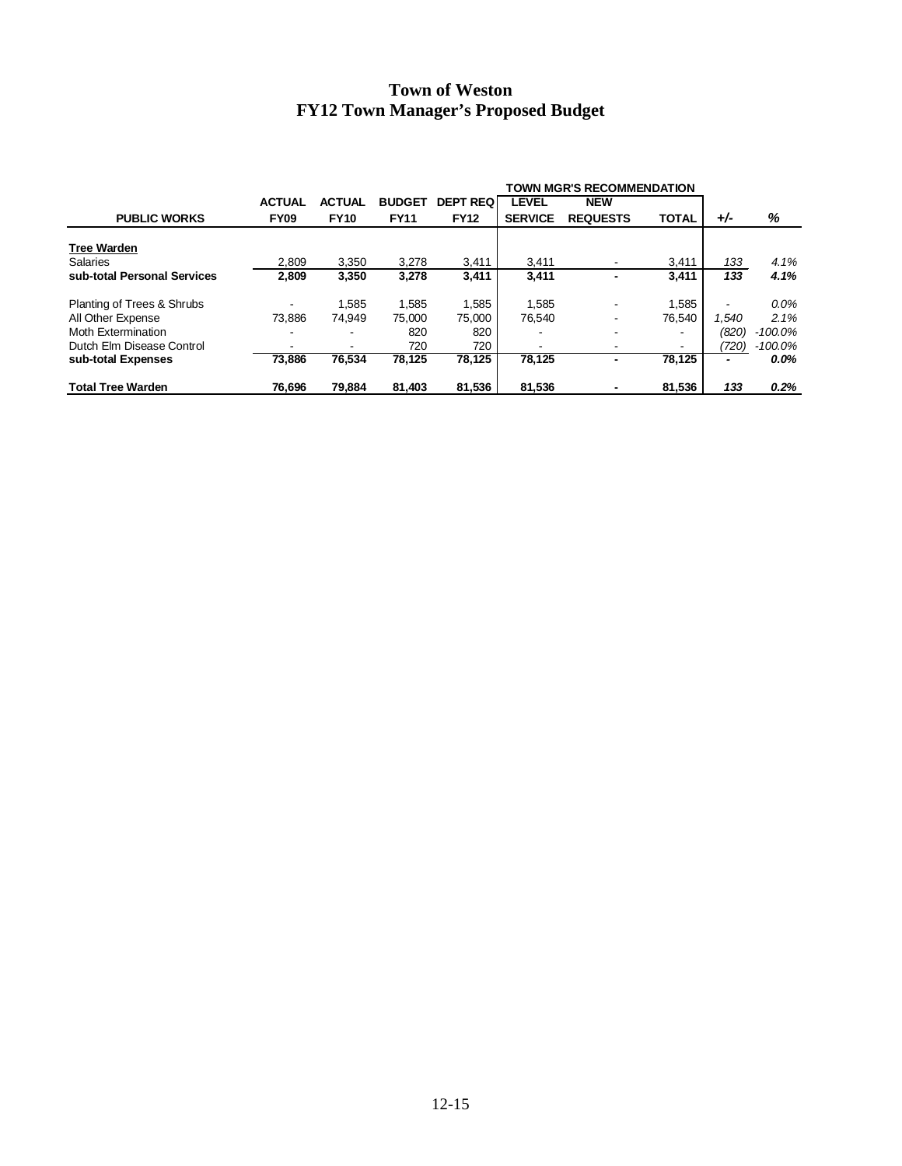|                             |               |               |               |                 | TOWN MGR'S RECOMMENDATION |                          |                          |       |            |
|-----------------------------|---------------|---------------|---------------|-----------------|---------------------------|--------------------------|--------------------------|-------|------------|
|                             | <b>ACTUAL</b> | <b>ACTUAL</b> | <b>BUDGET</b> | <b>DEPT REQ</b> | <b>LEVEL</b>              | <b>NEW</b>               |                          |       |            |
| <b>PUBLIC WORKS</b>         | <b>FY09</b>   | <b>FY10</b>   | <b>FY11</b>   | <b>FY12</b>     | <b>SERVICE</b>            | <b>REQUESTS</b>          | <b>TOTAL</b>             | $+/-$ | %          |
| <b>Tree Warden</b>          |               |               |               |                 |                           |                          |                          |       |            |
| <b>Salaries</b>             | 2,809         | 3.350         | 3,278         | 3,411           | 3.411                     |                          | 3,411                    | 133   | 4.1%       |
| sub-total Personal Services | 2,809         | 3,350         | 3,278         | 3.411           | 3.411                     |                          | 3.411                    | 133   | 4.1%       |
| Planting of Trees & Shrubs  |               | 1,585         | 1,585         | 1,585           | 1.585                     |                          | 1,585                    |       | $0.0\%$    |
| All Other Expense           | 73.886        | 74.949        | 75.000        | 75,000          | 76.540                    |                          | 76.540                   | 1.540 | 2.1%       |
| Moth Extermination          |               |               | 820           | 820             |                           |                          | $\overline{\phantom{a}}$ | (820) | $-100.0\%$ |
| Dutch Elm Disease Control   |               |               | 720           | 720             |                           |                          | -                        | (720) | $-100.0\%$ |
| sub-total Expenses          | 73.886        | 76,534        | 78,125        | 78.125          | 78.125                    | $\overline{\phantom{0}}$ | 78.125                   | -     | $0.0\%$    |
| <b>Total Tree Warden</b>    | 76.696        | 79.884        | 81.403        | 81.536          | 81.536                    |                          | 81.536                   | 133   | 0.2%       |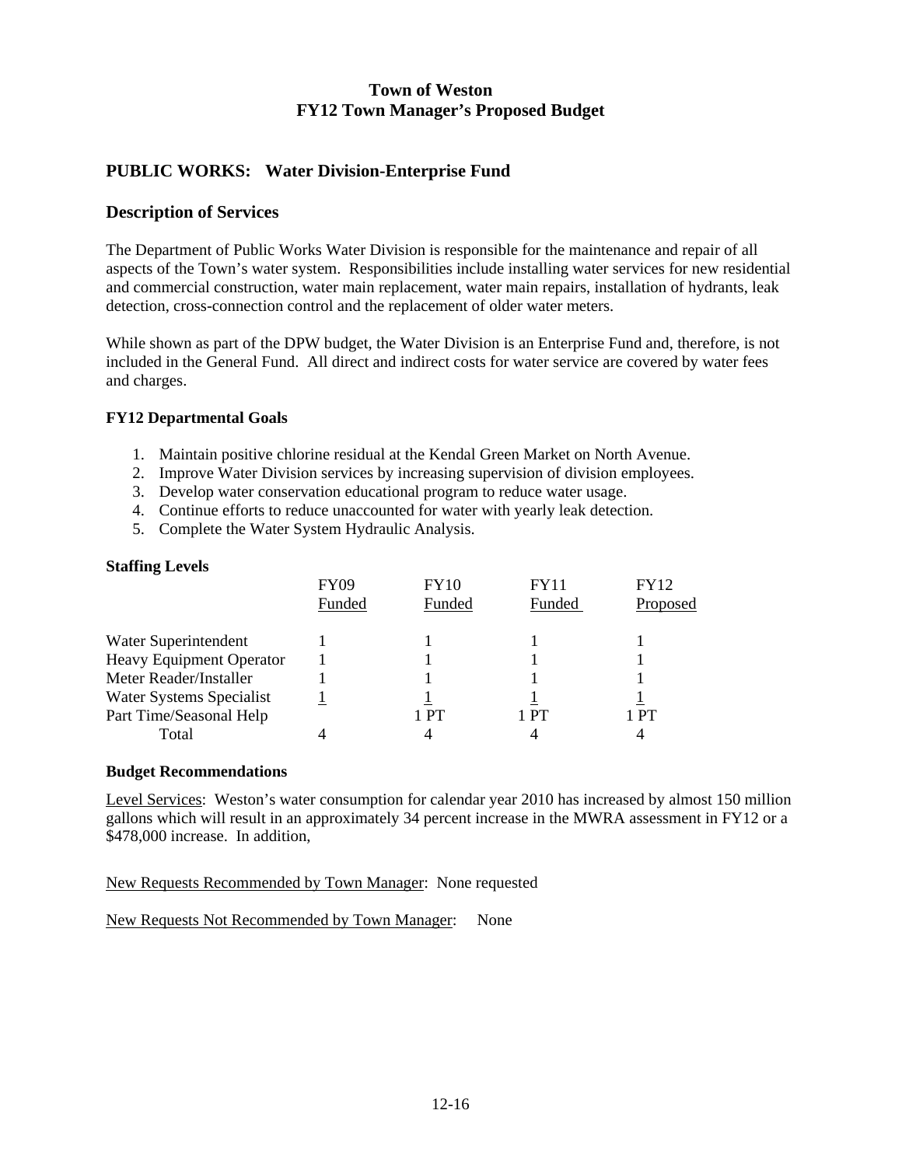### **PUBLIC WORKS: Water Division-Enterprise Fund**

### **Description of Services**

The Department of Public Works Water Division is responsible for the maintenance and repair of all aspects of the Town's water system. Responsibilities include installing water services for new residential and commercial construction, water main replacement, water main repairs, installation of hydrants, leak detection, cross-connection control and the replacement of older water meters.

While shown as part of the DPW budget, the Water Division is an Enterprise Fund and, therefore, is not included in the General Fund. All direct and indirect costs for water service are covered by water fees and charges.

#### **FY12 Departmental Goals**

- 1. Maintain positive chlorine residual at the Kendal Green Market on North Avenue.
- 2. Improve Water Division services by increasing supervision of division employees.
- 3. Develop water conservation educational program to reduce water usage.
- 4. Continue efforts to reduce unaccounted for water with yearly leak detection.
- 5. Complete the Water System Hydraulic Analysis.

#### **Staffing Levels**

|                                 | <b>FY09</b> | FY10   | FY11   | <b>FY12</b> |
|---------------------------------|-------------|--------|--------|-------------|
|                                 | Funded      | Funded | Funded | Proposed    |
| Water Superintendent            |             |        |        |             |
| <b>Heavy Equipment Operator</b> |             |        |        |             |
| Meter Reader/Installer          |             |        |        |             |
| Water Systems Specialist        |             |        |        |             |
| Part Time/Seasonal Help         |             | ∣ PT   | 1 PT   | l PT        |
| Total                           |             |        |        |             |

#### **Budget Recommendations**

Level Services: Weston's water consumption for calendar year 2010 has increased by almost 150 million gallons which will result in an approximately 34 percent increase in the MWRA assessment in FY12 or a \$478,000 increase. In addition,

New Requests Recommended by Town Manager: None requested